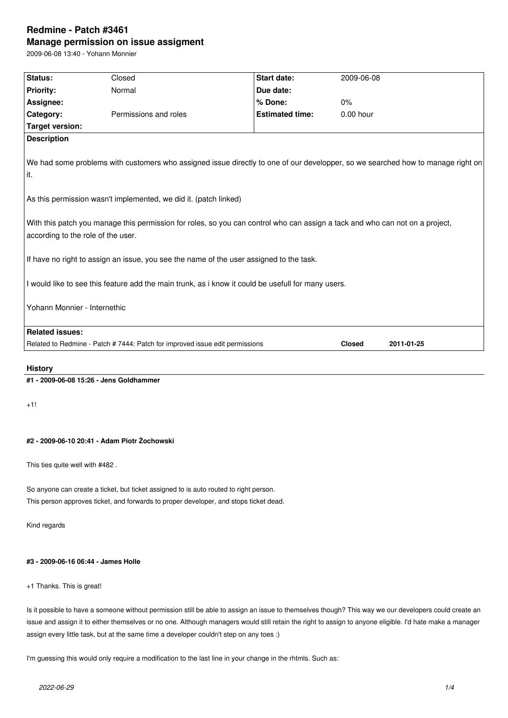# **Redmine - Patch #3461 Manage permission on issue assigment**

2009-06-08 13:40 - Yohann Monnier

| Status:                                                                                                                                                            | Closed                                                                       | <b>Start date:</b>     | 2009-06-08    |            |  |
|--------------------------------------------------------------------------------------------------------------------------------------------------------------------|------------------------------------------------------------------------------|------------------------|---------------|------------|--|
| <b>Priority:</b>                                                                                                                                                   | Normal                                                                       | Due date:              |               |            |  |
| Assignee:                                                                                                                                                          |                                                                              | % Done:                | $0\%$         |            |  |
| Category:                                                                                                                                                          | Permissions and roles                                                        | <b>Estimated time:</b> | $0.00$ hour   |            |  |
| <b>Target version:</b>                                                                                                                                             |                                                                              |                        |               |            |  |
| <b>Description</b>                                                                                                                                                 |                                                                              |                        |               |            |  |
| We had some problems with customers who assigned issue directly to one of our developper, so we searched how to manage right on<br>it.                             |                                                                              |                        |               |            |  |
| As this permission wasn't implemented, we did it. (patch linked)                                                                                                   |                                                                              |                        |               |            |  |
| With this patch you manage this permission for roles, so you can control who can assign a tack and who can not on a project,<br>according to the role of the user. |                                                                              |                        |               |            |  |
| If have no right to assign an issue, you see the name of the user assigned to the task.                                                                            |                                                                              |                        |               |            |  |
| I would like to see this feature add the main trunk, as i know it could be usefull for many users.                                                                 |                                                                              |                        |               |            |  |
| Yohann Monnier - Internethic                                                                                                                                       |                                                                              |                        |               |            |  |
| <b>Related issues:</b>                                                                                                                                             |                                                                              |                        |               |            |  |
|                                                                                                                                                                    | Related to Redmine - Patch # 7444: Patch for improved issue edit permissions |                        | <b>Closed</b> | 2011-01-25 |  |
|                                                                                                                                                                    |                                                                              |                        |               |            |  |

# **History**

**#1 - 2009-06-08 15:26 - Jens Goldhammer**

+1!

### **#2 - 2009-06-10 20:41 - Adam Piotr Żochowski**

This ties quite well with #482 .

So anyone can create a ticket, but ticket assigned to is auto routed to right person. This person approves ticket, and forwards to proper developer, and stops ticket dead.

Kind regards

### **#3 - 2009-06-16 06:44 - James Holle**

+1 Thanks. This is great!

Is it possible to have a someone without permission still be able to assign an issue to themselves though? This way we our developers could create an issue and assign it to either themselves or no one. Although managers would still retain the right to assign to anyone eligible. I'd hate make a manager assign every little task, but at the same time a developer couldn't step on any toes :)

I'm guessing this would only require a modification to the last line in your change in the rhtmls. Such as: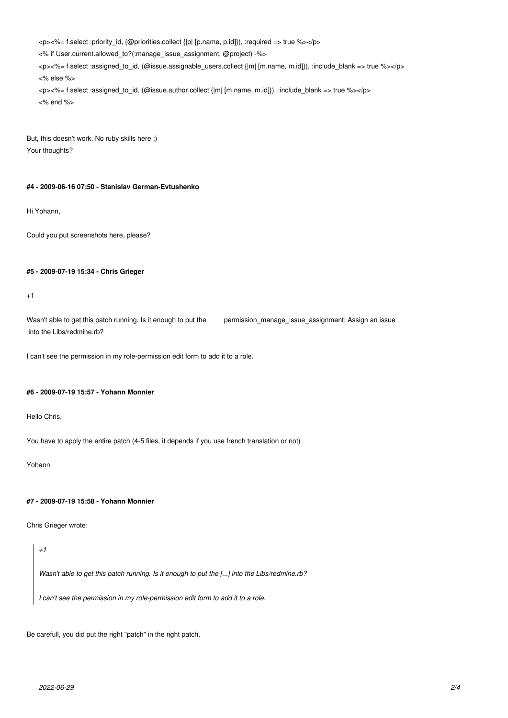<p><%= f.select :priority\_id, (@priorities.collect {|p| [p.name, p.id]}), :required => true %></p> <% if User.current.allowed\_to?(:manage\_issue\_assignment, @project) -%> <p><%= f.select :assigned\_to\_id, (@issue.assignable\_users.collect {|m| [m.name, m.id]}), :include\_blank => true %></p> <% else %> <p><%= f.select :assigned\_to\_id, (@issue.author.collect {|m| [m.name, m.id]}), :include\_blank => true %></p> <% end %>

But, this doesn't work. No ruby skills here ;) Your thoughts?

#### **#4 - 2009-06-16 07:50 - Stanislav German-Evtushenko**

Hi Yohann,

Could you put screenshots here, please?

#### **#5 - 2009-07-19 15:34 - Chris Grieger**

 $+1$ 

Wasn't able to get this patch running. Is it enough to put the permission\_manage\_issue\_assignment: Assign an issue into the Libs/redmine.rb?

I can't see the permission in my role-permission edit form to add it to a role.

#### **#6 - 2009-07-19 15:57 - Yohann Monnier**

Hello Chris,

You have to apply the entire patch (4-5 files, it depends if you use french translation or not)

Yohann

# **#7 - 2009-07-19 15:58 - Yohann Monnier**

Chris Grieger wrote:

#### *+1*

*Wasn't able to get this patch running. Is it enough to put the [...] into the Libs/redmine.rb?*

*I can't see the permission in my role-permission edit form to add it to a role.*

Be carefull, you did put the right "patch" in the right patch.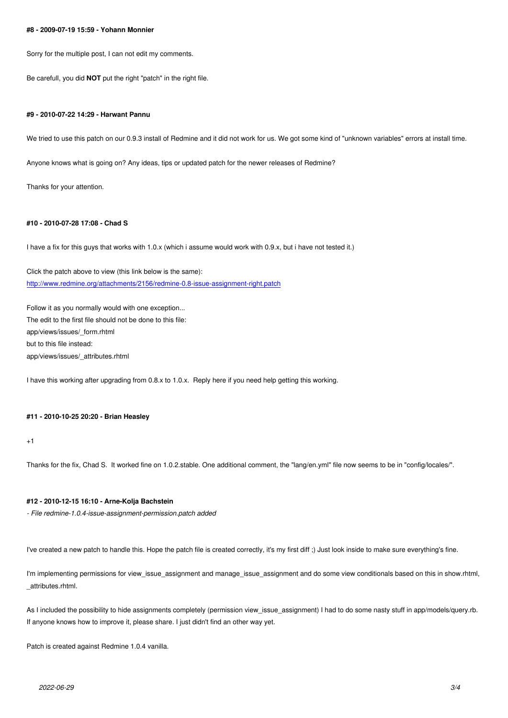Sorry for the multiple post, I can not edit my comments.

Be carefull, you did **NOT** put the right "patch" in the right file.

#### **#9 - 2010-07-22 14:29 - Harwant Pannu**

We tried to use this patch on our 0.9.3 install of Redmine and it did not work for us. We got some kind of "unknown variables" errors at install time.

Anyone knows what is going on? Any ideas, tips or updated patch for the newer releases of Redmine?

Thanks for your attention.

#### **#10 - 2010-07-28 17:08 - Chad S**

I have a fix for this guys that works with 1.0.x (which i assume would work with 0.9.x, but i have not tested it.)

Click the patch above to view (this link below is the same): http://www.redmine.org/attachments/2156/redmine-0.8-issue-assignment-right.patch

Follow it as you normally would with one exception... [The edit to the first file should not be done to this file:](http://www.redmine.org/attachments/2156/redmine-0.8-issue-assignment-right.patch) app/views/issues/\_form.rhtml but to this file instead: app/views/issues/\_attributes.rhtml

I have this working after upgrading from 0.8.x to 1.0.x. Reply here if you need help getting this working.

#### **#11 - 2010-10-25 20:20 - Brian Heasley**

+1

Thanks for the fix, Chad S. It worked fine on 1.0.2.stable. One additional comment, the "lang/en.yml" file now seems to be in "config/locales/".

#### **#12 - 2010-12-15 16:10 - Arne-Kolja Bachstein**

*- File redmine-1.0.4-issue-assignment-permission.patch added*

I've created a new patch to handle this. Hope the patch file is created correctly, it's my first diff ;) Just look inside to make sure everything's fine.

I'm implementing permissions for view\_issue\_assignment and manage\_issue\_assignment and do some view conditionals based on this in show.rhtml, \_attributes.rhtml.

As I included the possibility to hide assignments completely (permission view\_issue\_assignment) I had to do some nasty stuff in app/models/query.rb. If anyone knows how to improve it, please share. I just didn't find an other way yet.

Patch is created against Redmine 1.0.4 vanilla.